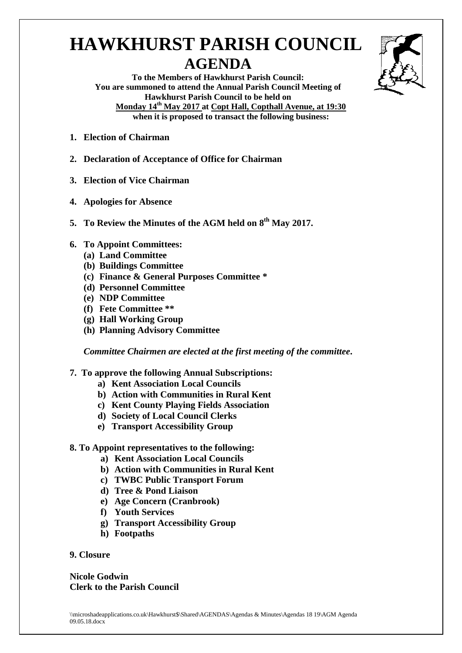## **HAWKHURST PARISH COUNCIL AGENDA**



**To the Members of Hawkhurst Parish Council: You are summoned to attend the Annual Parish Council Meeting of Hawkhurst Parish Council to be held on Monday 14th May 2017 at Copt Hall, Copthall Avenue, at 19:30 when it is proposed to transact the following business:**

- **1. Election of Chairman**
- **2. Declaration of Acceptance of Office for Chairman**
- **3. Election of Vice Chairman**
- **4. Apologies for Absence**
- **5. To Review the Minutes of the AGM held on 8 th May 2017.**
- **6. To Appoint Committees:**
	- **(a) Land Committee**
	- **(b) Buildings Committee**
	- **(c) Finance & General Purposes Committee \***
	- **(d) Personnel Committee**
	- **(e) NDP Committee**
	- **(f) Fete Committee \*\***
	- **(g) Hall Working Group**
	- **(h) Planning Advisory Committee**

*Committee Chairmen are elected at the first meeting of the committee***.**

- **7. To approve the following Annual Subscriptions:**
	- **a) Kent Association Local Councils**
	- **b) Action with Communities in Rural Kent**
	- **c) Kent County Playing Fields Association**
	- **d) Society of Local Council Clerks**
	- **e) Transport Accessibility Group**
- **8. To Appoint representatives to the following:** 
	- **a) Kent Association Local Councils**
	- **b) Action with Communities in Rural Kent**
	- **c) TWBC Public Transport Forum**
	- **d) Tree & Pond Liaison**
	- **e) Age Concern (Cranbrook)**
	- **f) Youth Services**
	- **g) Transport Accessibility Group**
	- **h) Footpaths**

## **9. Closure**

**Nicole Godwin Clerk to the Parish Council**